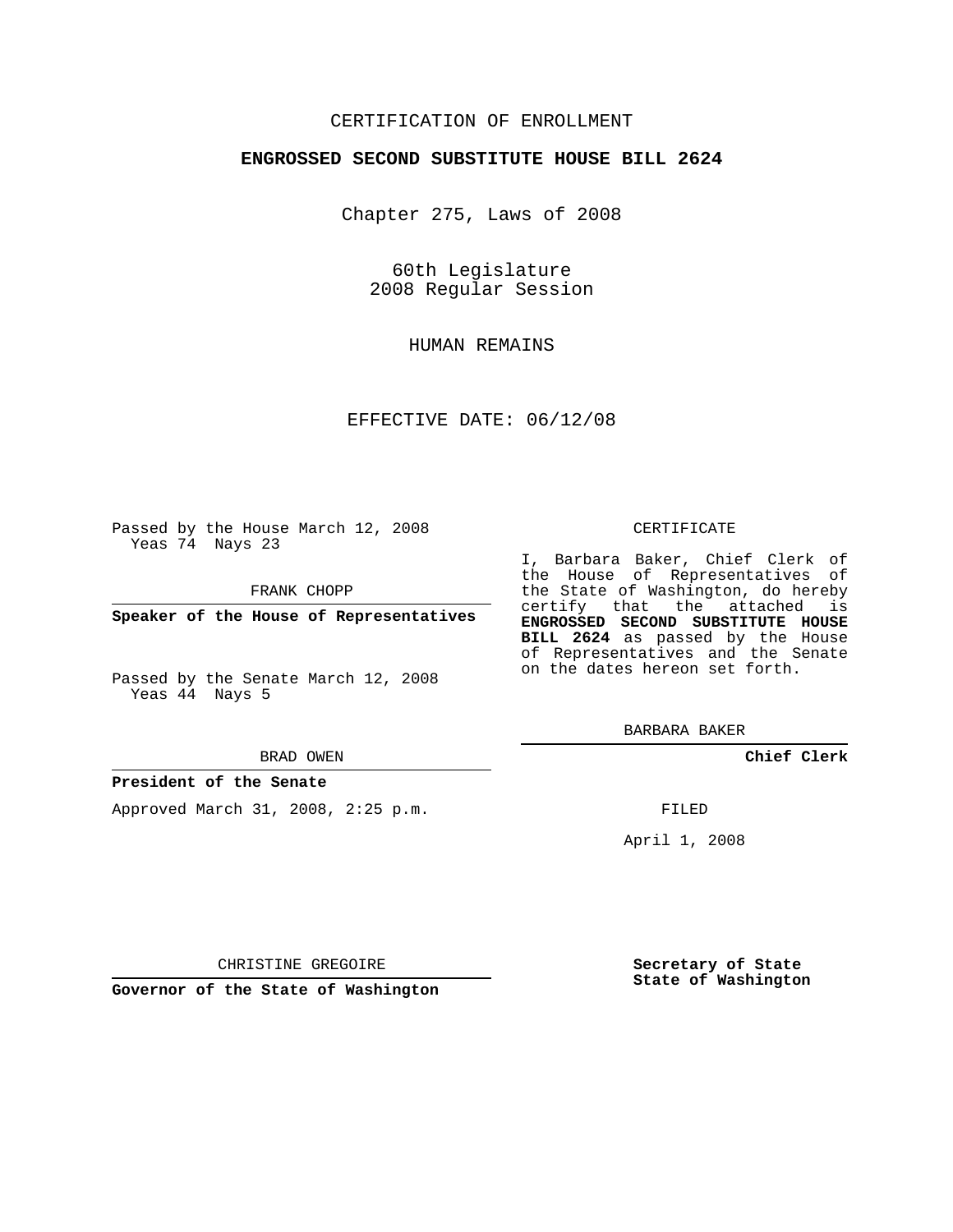## CERTIFICATION OF ENROLLMENT

### **ENGROSSED SECOND SUBSTITUTE HOUSE BILL 2624**

Chapter 275, Laws of 2008

60th Legislature 2008 Regular Session

HUMAN REMAINS

EFFECTIVE DATE: 06/12/08

Passed by the House March 12, 2008 Yeas 74 Nays 23

FRANK CHOPP

**Speaker of the House of Representatives**

Passed by the Senate March 12, 2008 Yeas 44 Nays 5

BRAD OWEN

## **President of the Senate**

Approved March 31, 2008, 2:25 p.m.

#### CERTIFICATE

I, Barbara Baker, Chief Clerk of the House of Representatives of the State of Washington, do hereby certify that the attached is **ENGROSSED SECOND SUBSTITUTE HOUSE BILL 2624** as passed by the House of Representatives and the Senate on the dates hereon set forth.

BARBARA BAKER

**Chief Clerk**

FILED

April 1, 2008

**Secretary of State State of Washington**

CHRISTINE GREGOIRE

**Governor of the State of Washington**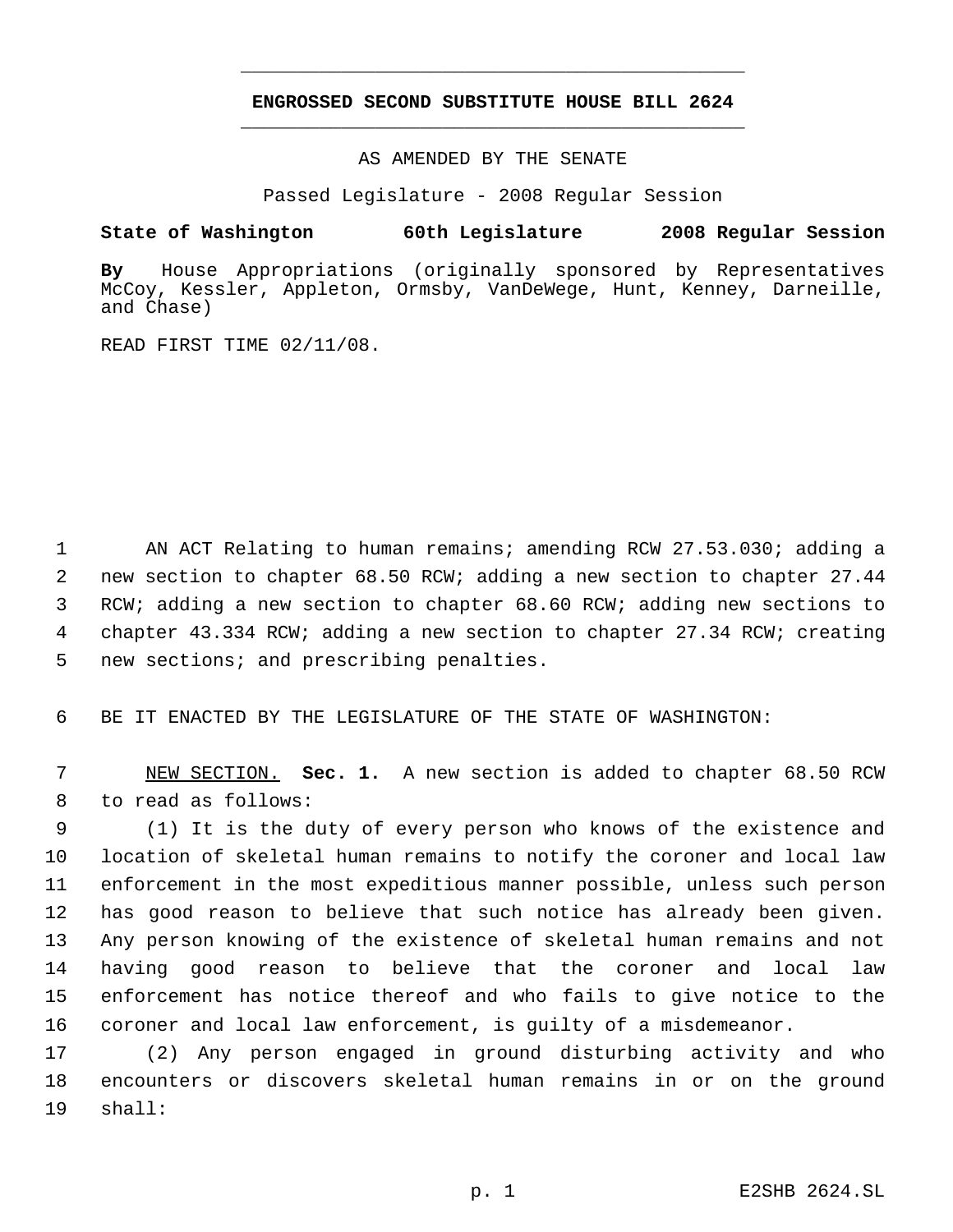# **ENGROSSED SECOND SUBSTITUTE HOUSE BILL 2624** \_\_\_\_\_\_\_\_\_\_\_\_\_\_\_\_\_\_\_\_\_\_\_\_\_\_\_\_\_\_\_\_\_\_\_\_\_\_\_\_\_\_\_\_\_

\_\_\_\_\_\_\_\_\_\_\_\_\_\_\_\_\_\_\_\_\_\_\_\_\_\_\_\_\_\_\_\_\_\_\_\_\_\_\_\_\_\_\_\_\_

AS AMENDED BY THE SENATE

Passed Legislature - 2008 Regular Session

## **State of Washington 60th Legislature 2008 Regular Session**

**By** House Appropriations (originally sponsored by Representatives McCoy, Kessler, Appleton, Ormsby, VanDeWege, Hunt, Kenney, Darneille, and Chase)

READ FIRST TIME 02/11/08.

1 AN ACT Relating to human remains; amending RCW 27.53.030; adding a new section to chapter 68.50 RCW; adding a new section to chapter 27.44 RCW; adding a new section to chapter 68.60 RCW; adding new sections to chapter 43.334 RCW; adding a new section to chapter 27.34 RCW; creating new sections; and prescribing penalties.

6 BE IT ENACTED BY THE LEGISLATURE OF THE STATE OF WASHINGTON:

 7 NEW SECTION. **Sec. 1.** A new section is added to chapter 68.50 RCW 8 to read as follows:

 (1) It is the duty of every person who knows of the existence and location of skeletal human remains to notify the coroner and local law enforcement in the most expeditious manner possible, unless such person has good reason to believe that such notice has already been given. Any person knowing of the existence of skeletal human remains and not having good reason to believe that the coroner and local law enforcement has notice thereof and who fails to give notice to the coroner and local law enforcement, is guilty of a misdemeanor.

17 (2) Any person engaged in ground disturbing activity and who 18 encounters or discovers skeletal human remains in or on the ground 19 shall: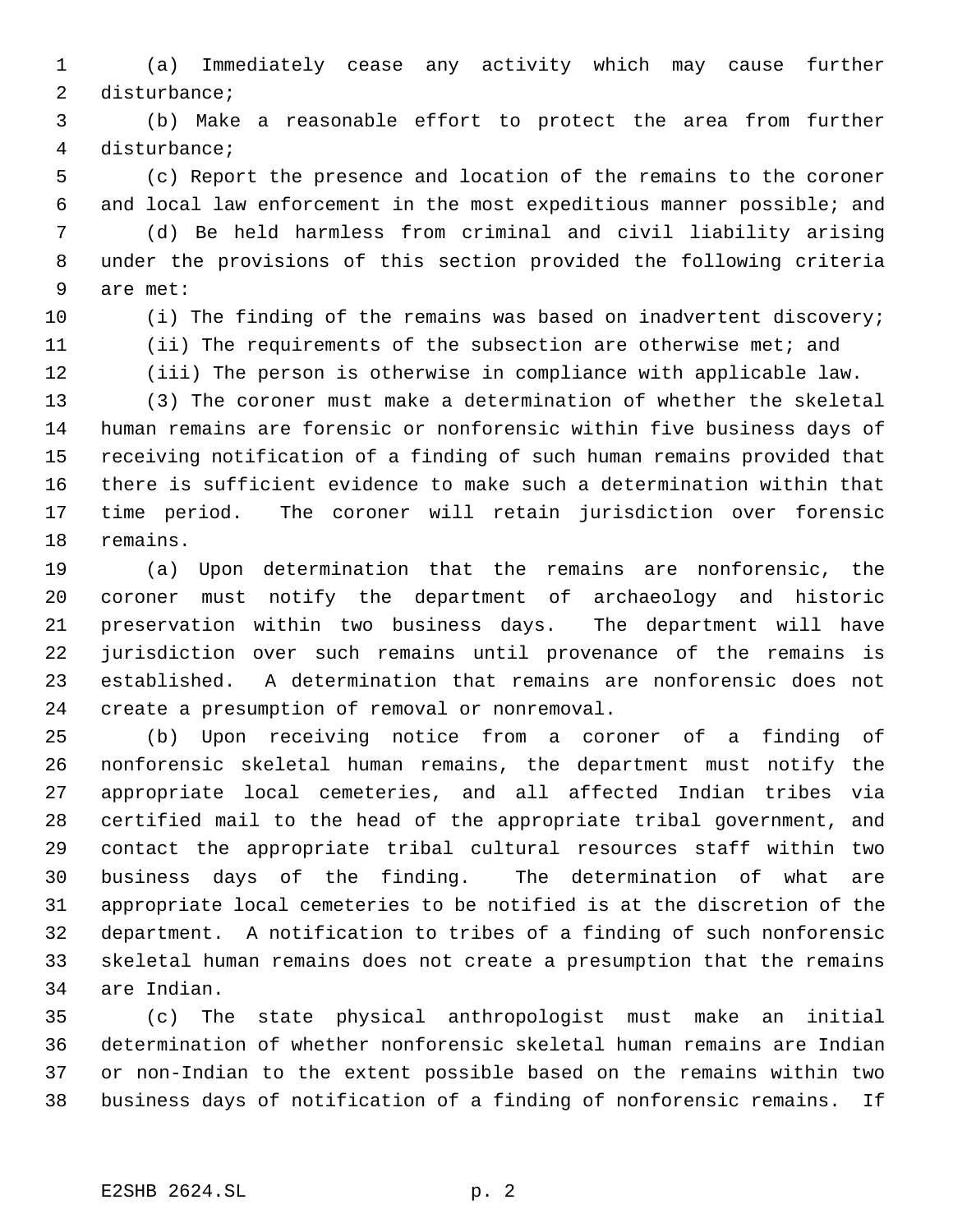(a) Immediately cease any activity which may cause further disturbance;

 (b) Make a reasonable effort to protect the area from further disturbance;

 (c) Report the presence and location of the remains to the coroner and local law enforcement in the most expeditious manner possible; and

 (d) Be held harmless from criminal and civil liability arising under the provisions of this section provided the following criteria are met:

(i) The finding of the remains was based on inadvertent discovery;

 (ii) The requirements of the subsection are otherwise met; and (iii) The person is otherwise in compliance with applicable law.

 (3) The coroner must make a determination of whether the skeletal human remains are forensic or nonforensic within five business days of receiving notification of a finding of such human remains provided that there is sufficient evidence to make such a determination within that time period. The coroner will retain jurisdiction over forensic remains.

 (a) Upon determination that the remains are nonforensic, the coroner must notify the department of archaeology and historic preservation within two business days. The department will have jurisdiction over such remains until provenance of the remains is established. A determination that remains are nonforensic does not create a presumption of removal or nonremoval.

 (b) Upon receiving notice from a coroner of a finding of nonforensic skeletal human remains, the department must notify the appropriate local cemeteries, and all affected Indian tribes via certified mail to the head of the appropriate tribal government, and contact the appropriate tribal cultural resources staff within two business days of the finding. The determination of what are appropriate local cemeteries to be notified is at the discretion of the department. A notification to tribes of a finding of such nonforensic skeletal human remains does not create a presumption that the remains are Indian.

 (c) The state physical anthropologist must make an initial determination of whether nonforensic skeletal human remains are Indian or non-Indian to the extent possible based on the remains within two business days of notification of a finding of nonforensic remains. If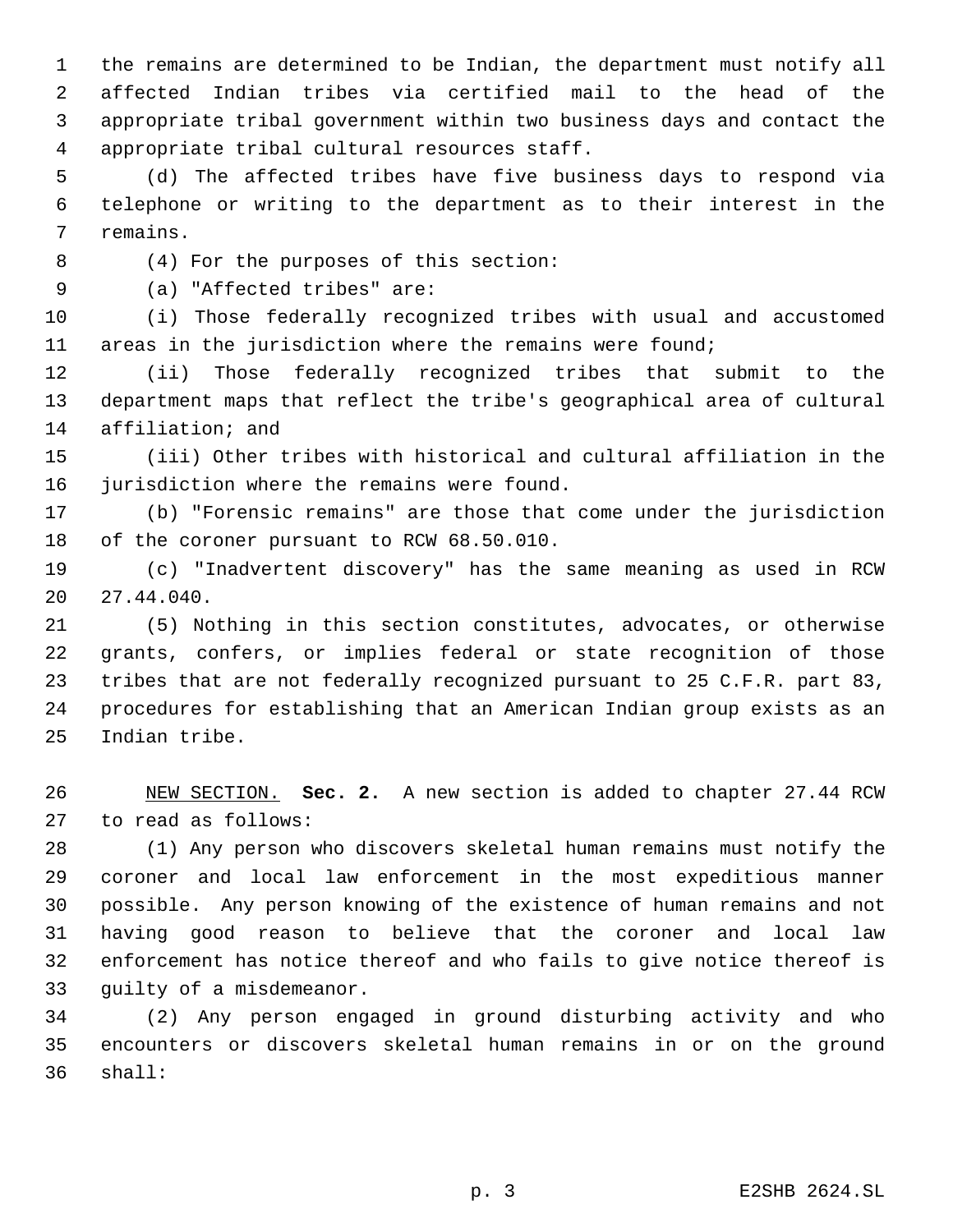the remains are determined to be Indian, the department must notify all affected Indian tribes via certified mail to the head of the appropriate tribal government within two business days and contact the appropriate tribal cultural resources staff.

 (d) The affected tribes have five business days to respond via telephone or writing to the department as to their interest in the remains.

(4) For the purposes of this section:

(a) "Affected tribes" are:

 (i) Those federally recognized tribes with usual and accustomed areas in the jurisdiction where the remains were found;

 (ii) Those federally recognized tribes that submit to the department maps that reflect the tribe's geographical area of cultural affiliation; and

 (iii) Other tribes with historical and cultural affiliation in the jurisdiction where the remains were found.

 (b) "Forensic remains" are those that come under the jurisdiction of the coroner pursuant to RCW 68.50.010.

 (c) "Inadvertent discovery" has the same meaning as used in RCW 27.44.040.

 (5) Nothing in this section constitutes, advocates, or otherwise grants, confers, or implies federal or state recognition of those tribes that are not federally recognized pursuant to 25 C.F.R. part 83, procedures for establishing that an American Indian group exists as an Indian tribe.

 NEW SECTION. **Sec. 2.** A new section is added to chapter 27.44 RCW to read as follows:

 (1) Any person who discovers skeletal human remains must notify the coroner and local law enforcement in the most expeditious manner possible. Any person knowing of the existence of human remains and not having good reason to believe that the coroner and local law enforcement has notice thereof and who fails to give notice thereof is guilty of a misdemeanor.

 (2) Any person engaged in ground disturbing activity and who encounters or discovers skeletal human remains in or on the ground shall: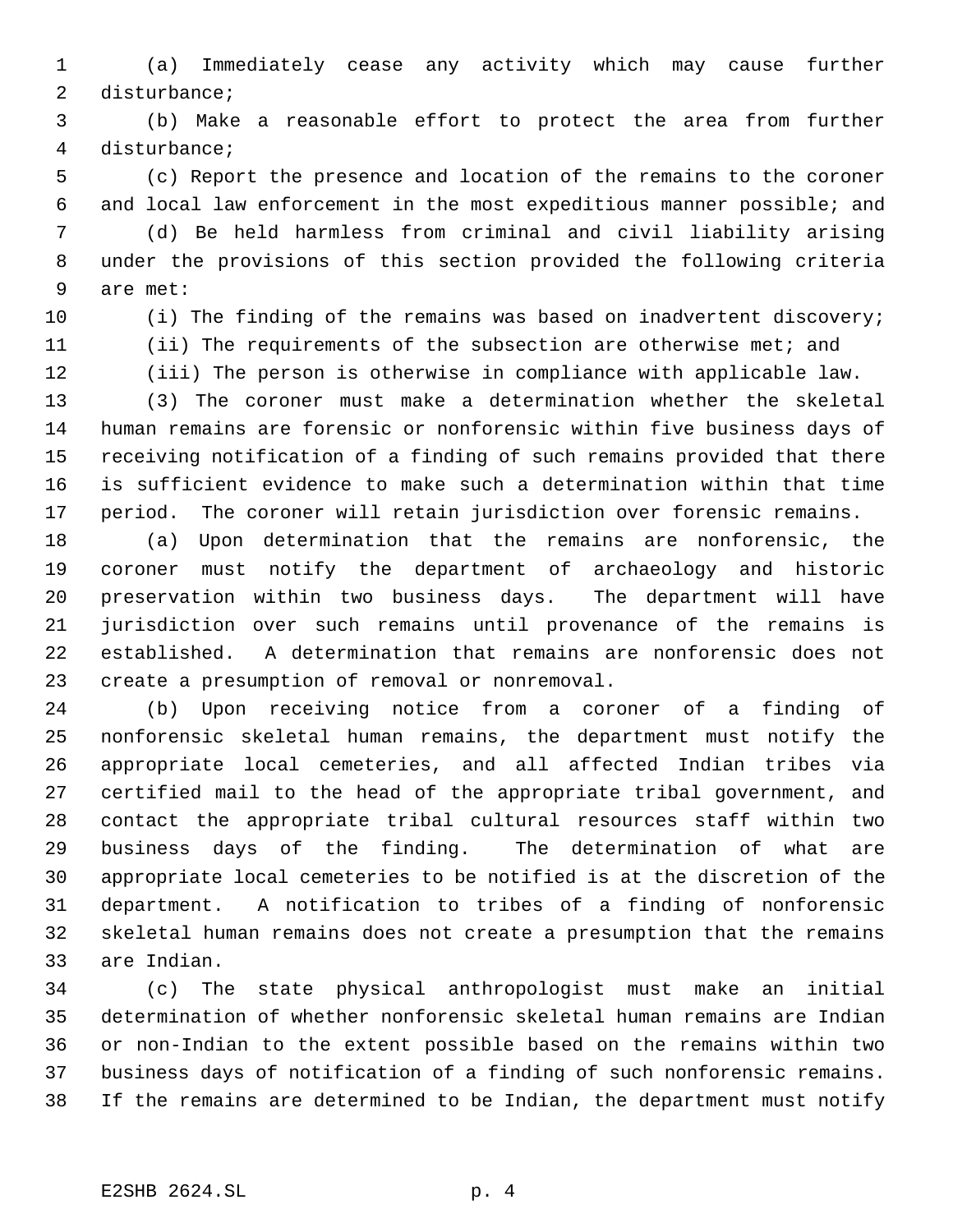(a) Immediately cease any activity which may cause further disturbance;

 (b) Make a reasonable effort to protect the area from further disturbance;

 (c) Report the presence and location of the remains to the coroner and local law enforcement in the most expeditious manner possible; and

 (d) Be held harmless from criminal and civil liability arising under the provisions of this section provided the following criteria are met:

(i) The finding of the remains was based on inadvertent discovery;

 (ii) The requirements of the subsection are otherwise met; and (iii) The person is otherwise in compliance with applicable law.

 (3) The coroner must make a determination whether the skeletal human remains are forensic or nonforensic within five business days of receiving notification of a finding of such remains provided that there is sufficient evidence to make such a determination within that time period. The coroner will retain jurisdiction over forensic remains.

 (a) Upon determination that the remains are nonforensic, the coroner must notify the department of archaeology and historic preservation within two business days. The department will have jurisdiction over such remains until provenance of the remains is established. A determination that remains are nonforensic does not create a presumption of removal or nonremoval.

 (b) Upon receiving notice from a coroner of a finding of nonforensic skeletal human remains, the department must notify the appropriate local cemeteries, and all affected Indian tribes via certified mail to the head of the appropriate tribal government, and contact the appropriate tribal cultural resources staff within two business days of the finding. The determination of what are appropriate local cemeteries to be notified is at the discretion of the department. A notification to tribes of a finding of nonforensic skeletal human remains does not create a presumption that the remains are Indian.

 (c) The state physical anthropologist must make an initial determination of whether nonforensic skeletal human remains are Indian or non-Indian to the extent possible based on the remains within two business days of notification of a finding of such nonforensic remains. If the remains are determined to be Indian, the department must notify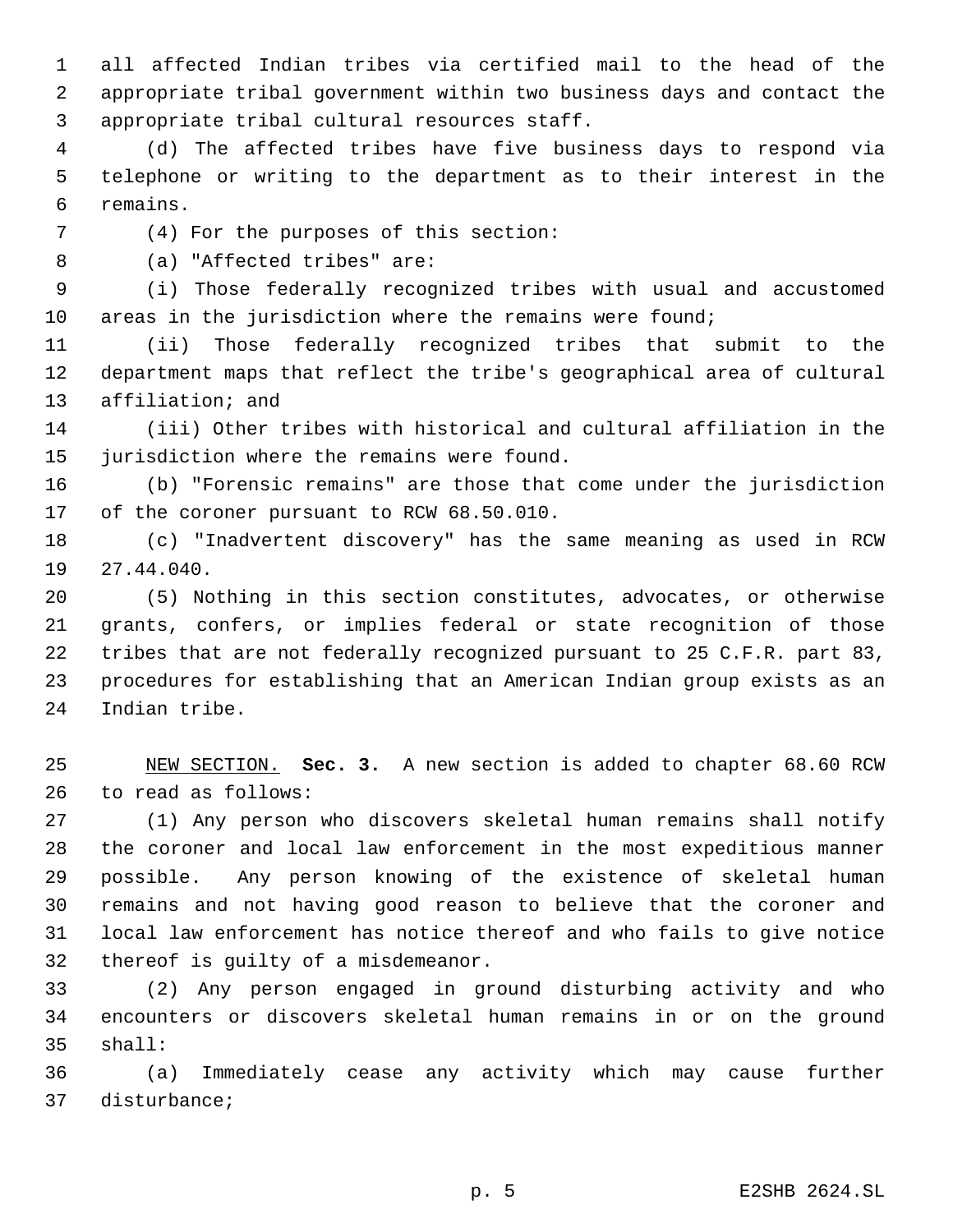all affected Indian tribes via certified mail to the head of the appropriate tribal government within two business days and contact the appropriate tribal cultural resources staff.

 (d) The affected tribes have five business days to respond via telephone or writing to the department as to their interest in the remains.

(4) For the purposes of this section:

(a) "Affected tribes" are:

 (i) Those federally recognized tribes with usual and accustomed areas in the jurisdiction where the remains were found;

 (ii) Those federally recognized tribes that submit to the department maps that reflect the tribe's geographical area of cultural affiliation; and

 (iii) Other tribes with historical and cultural affiliation in the jurisdiction where the remains were found.

 (b) "Forensic remains" are those that come under the jurisdiction of the coroner pursuant to RCW 68.50.010.

 (c) "Inadvertent discovery" has the same meaning as used in RCW 27.44.040.

 (5) Nothing in this section constitutes, advocates, or otherwise grants, confers, or implies federal or state recognition of those tribes that are not federally recognized pursuant to 25 C.F.R. part 83, procedures for establishing that an American Indian group exists as an Indian tribe.

 NEW SECTION. **Sec. 3.** A new section is added to chapter 68.60 RCW to read as follows:

 (1) Any person who discovers skeletal human remains shall notify the coroner and local law enforcement in the most expeditious manner possible. Any person knowing of the existence of skeletal human remains and not having good reason to believe that the coroner and local law enforcement has notice thereof and who fails to give notice thereof is guilty of a misdemeanor.

 (2) Any person engaged in ground disturbing activity and who encounters or discovers skeletal human remains in or on the ground shall:

 (a) Immediately cease any activity which may cause further disturbance;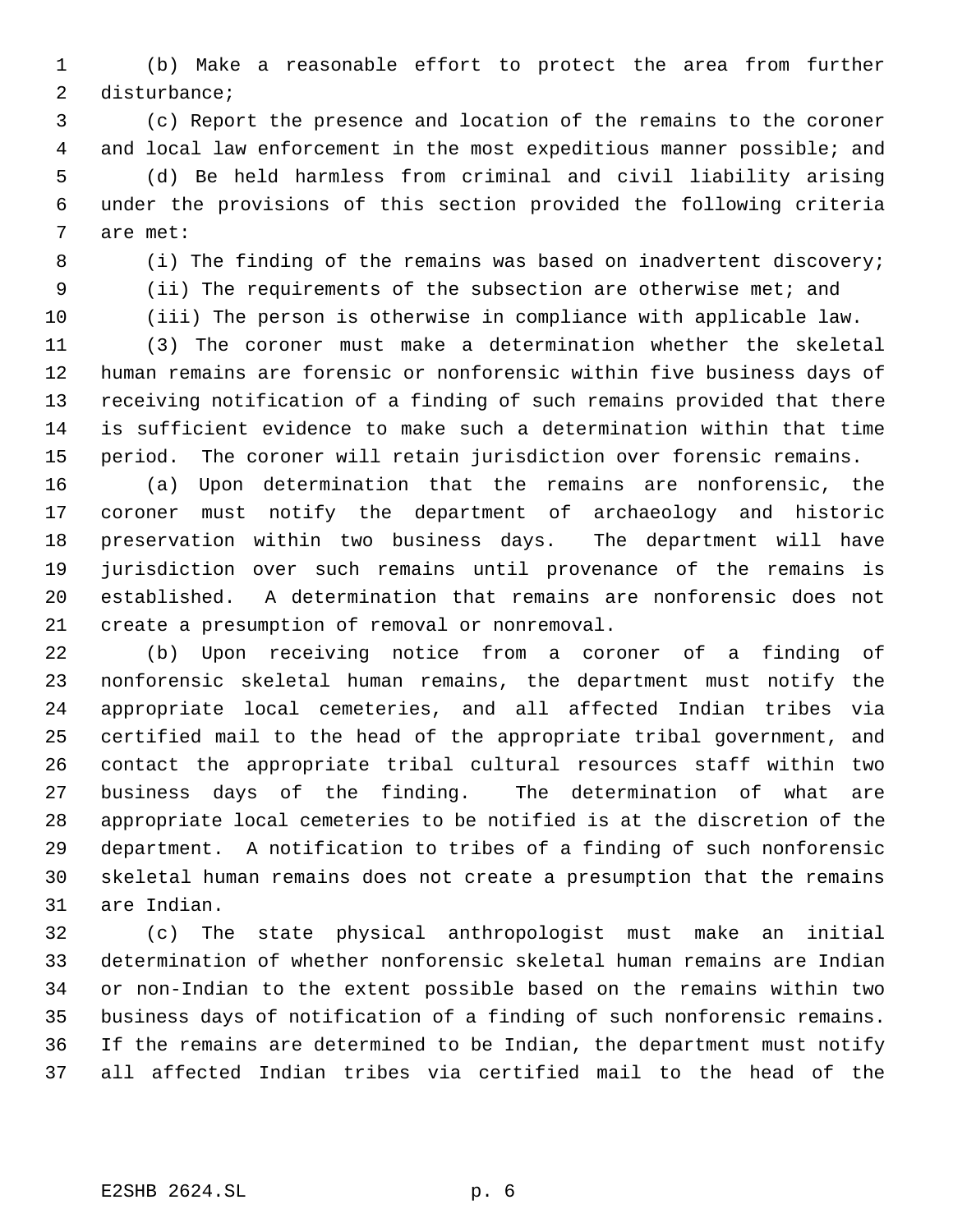(b) Make a reasonable effort to protect the area from further disturbance;

 (c) Report the presence and location of the remains to the coroner and local law enforcement in the most expeditious manner possible; and (d) Be held harmless from criminal and civil liability arising under the provisions of this section provided the following criteria are met:

8 (i) The finding of the remains was based on inadvertent discovery; (ii) The requirements of the subsection are otherwise met; and

(iii) The person is otherwise in compliance with applicable law.

 (3) The coroner must make a determination whether the skeletal human remains are forensic or nonforensic within five business days of receiving notification of a finding of such remains provided that there is sufficient evidence to make such a determination within that time period. The coroner will retain jurisdiction over forensic remains.

 (a) Upon determination that the remains are nonforensic, the coroner must notify the department of archaeology and historic preservation within two business days. The department will have jurisdiction over such remains until provenance of the remains is established. A determination that remains are nonforensic does not create a presumption of removal or nonremoval.

 (b) Upon receiving notice from a coroner of a finding of nonforensic skeletal human remains, the department must notify the appropriate local cemeteries, and all affected Indian tribes via certified mail to the head of the appropriate tribal government, and contact the appropriate tribal cultural resources staff within two business days of the finding. The determination of what are appropriate local cemeteries to be notified is at the discretion of the department. A notification to tribes of a finding of such nonforensic skeletal human remains does not create a presumption that the remains are Indian.

 (c) The state physical anthropologist must make an initial determination of whether nonforensic skeletal human remains are Indian or non-Indian to the extent possible based on the remains within two business days of notification of a finding of such nonforensic remains. If the remains are determined to be Indian, the department must notify all affected Indian tribes via certified mail to the head of the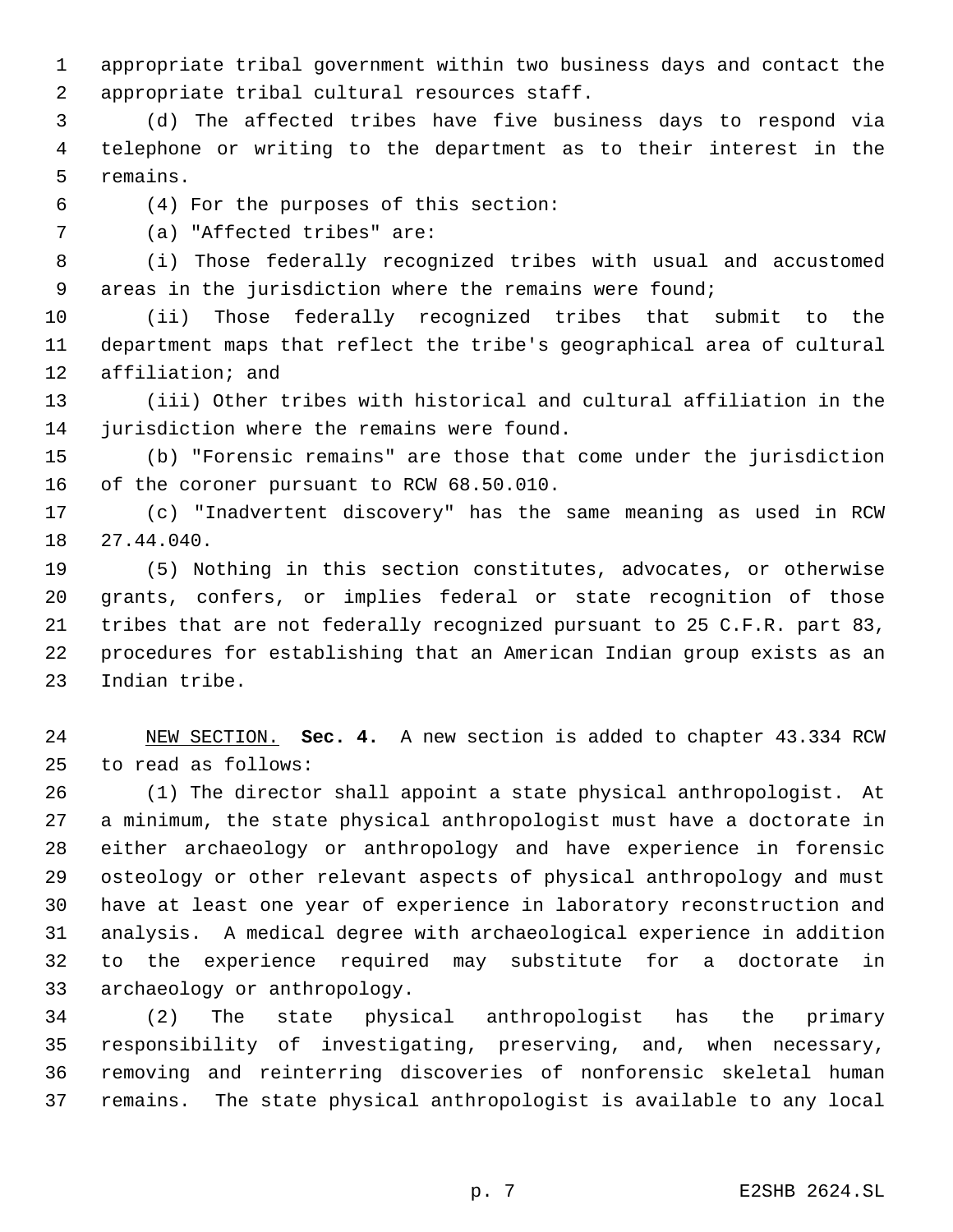appropriate tribal government within two business days and contact the appropriate tribal cultural resources staff.

 (d) The affected tribes have five business days to respond via telephone or writing to the department as to their interest in the remains.

(4) For the purposes of this section:

(a) "Affected tribes" are:

 (i) Those federally recognized tribes with usual and accustomed areas in the jurisdiction where the remains were found;

 (ii) Those federally recognized tribes that submit to the department maps that reflect the tribe's geographical area of cultural affiliation; and

 (iii) Other tribes with historical and cultural affiliation in the jurisdiction where the remains were found.

 (b) "Forensic remains" are those that come under the jurisdiction of the coroner pursuant to RCW 68.50.010.

 (c) "Inadvertent discovery" has the same meaning as used in RCW 27.44.040.

 (5) Nothing in this section constitutes, advocates, or otherwise grants, confers, or implies federal or state recognition of those tribes that are not federally recognized pursuant to 25 C.F.R. part 83, procedures for establishing that an American Indian group exists as an Indian tribe.

 NEW SECTION. **Sec. 4.** A new section is added to chapter 43.334 RCW to read as follows:

 (1) The director shall appoint a state physical anthropologist. At a minimum, the state physical anthropologist must have a doctorate in either archaeology or anthropology and have experience in forensic osteology or other relevant aspects of physical anthropology and must have at least one year of experience in laboratory reconstruction and analysis. A medical degree with archaeological experience in addition to the experience required may substitute for a doctorate in archaeology or anthropology.

 (2) The state physical anthropologist has the primary responsibility of investigating, preserving, and, when necessary, removing and reinterring discoveries of nonforensic skeletal human remains. The state physical anthropologist is available to any local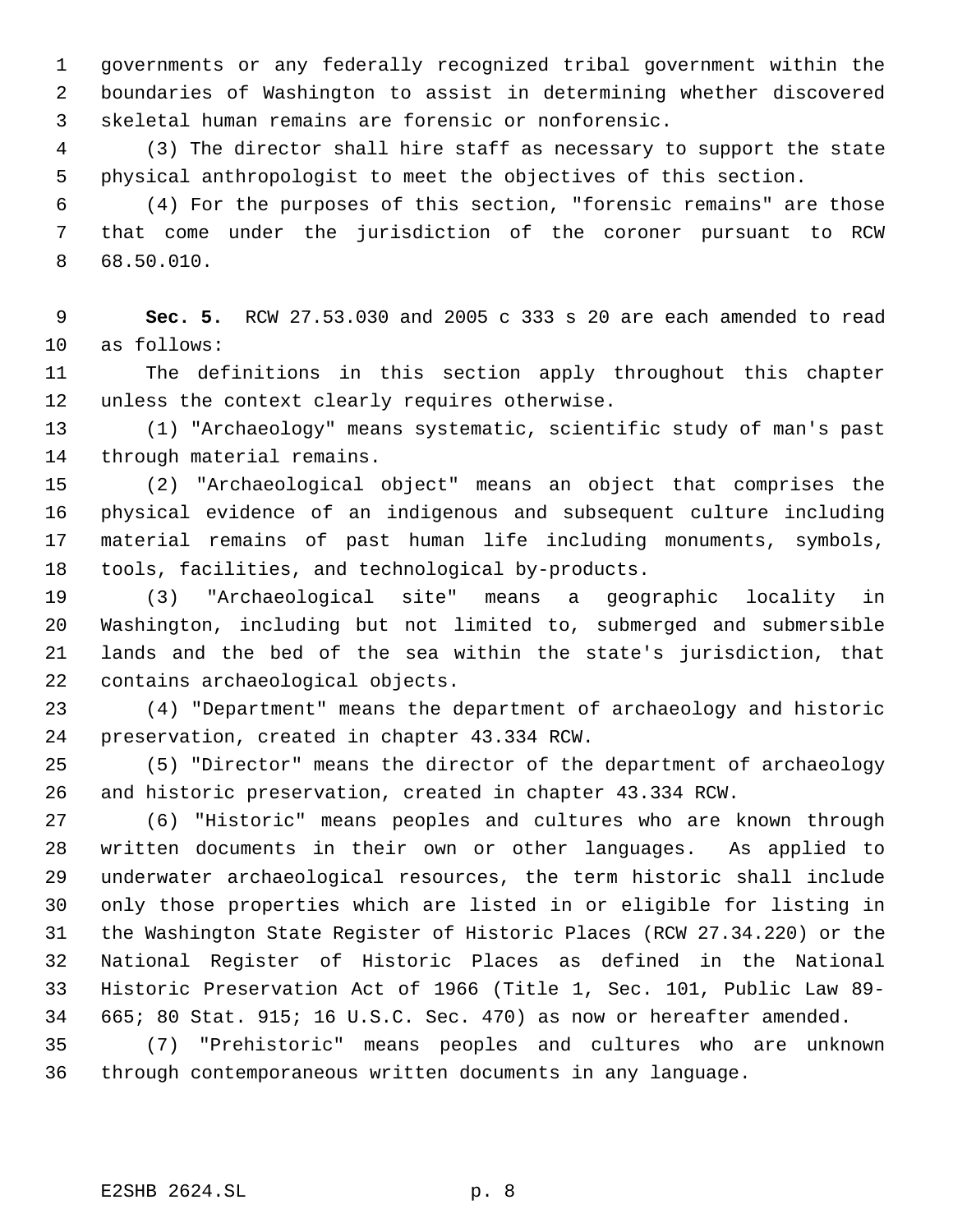governments or any federally recognized tribal government within the boundaries of Washington to assist in determining whether discovered skeletal human remains are forensic or nonforensic.

 (3) The director shall hire staff as necessary to support the state physical anthropologist to meet the objectives of this section.

 (4) For the purposes of this section, "forensic remains" are those that come under the jurisdiction of the coroner pursuant to RCW 68.50.010.

 **Sec. 5.** RCW 27.53.030 and 2005 c 333 s 20 are each amended to read as follows:

 The definitions in this section apply throughout this chapter unless the context clearly requires otherwise.

 (1) "Archaeology" means systematic, scientific study of man's past through material remains.

 (2) "Archaeological object" means an object that comprises the physical evidence of an indigenous and subsequent culture including material remains of past human life including monuments, symbols, tools, facilities, and technological by-products.

 (3) "Archaeological site" means a geographic locality in Washington, including but not limited to, submerged and submersible lands and the bed of the sea within the state's jurisdiction, that contains archaeological objects.

 (4) "Department" means the department of archaeology and historic preservation, created in chapter 43.334 RCW.

 (5) "Director" means the director of the department of archaeology and historic preservation, created in chapter 43.334 RCW.

 (6) "Historic" means peoples and cultures who are known through written documents in their own or other languages. As applied to underwater archaeological resources, the term historic shall include only those properties which are listed in or eligible for listing in the Washington State Register of Historic Places (RCW 27.34.220) or the National Register of Historic Places as defined in the National Historic Preservation Act of 1966 (Title 1, Sec. 101, Public Law 89- 665; 80 Stat. 915; 16 U.S.C. Sec. 470) as now or hereafter amended.

 (7) "Prehistoric" means peoples and cultures who are unknown through contemporaneous written documents in any language.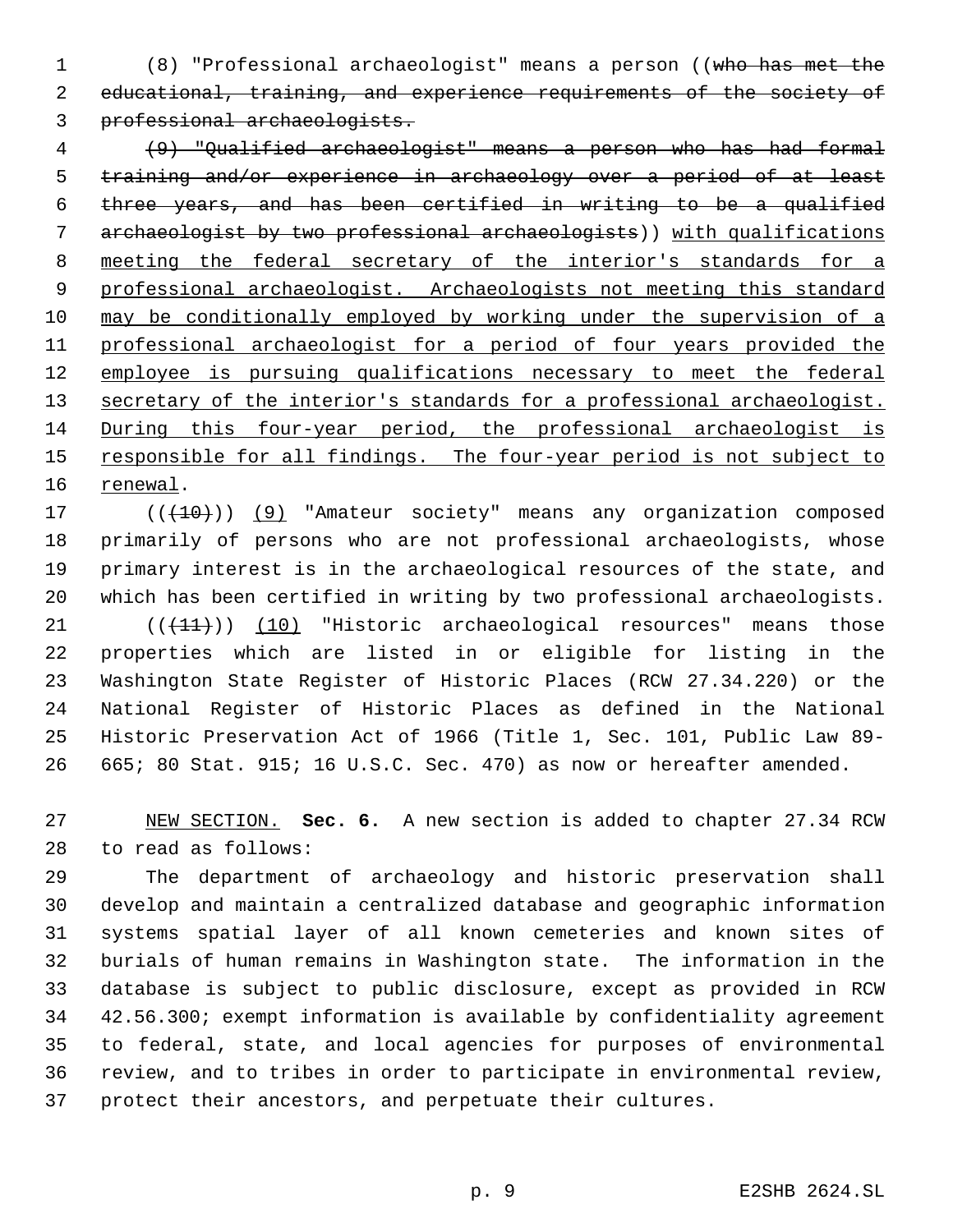(8) "Professional archaeologist" means a person ((who has met the educational, training, and experience requirements of the society of professional archaeologists.

 (9) "Qualified archaeologist" means a person who has had formal training and/or experience in archaeology over a period of at least three years, and has been certified in writing to be a qualified 7 archaeologist by two professional archaeologists)) with qualifications meeting the federal secretary of the interior's standards for a 9 professional archaeologist. Archaeologists not meeting this standard may be conditionally employed by working under the supervision of a professional archaeologist for a period of four years provided the 12 employee is pursuing qualifications necessary to meet the federal 13 secretary of the interior's standards for a professional archaeologist. During this four-year period, the professional archaeologist is 15 responsible for all findings. The four-year period is not subject to renewal.

17 (((10)) (9) "Amateur society" means any organization composed primarily of persons who are not professional archaeologists, whose primary interest is in the archaeological resources of the state, and which has been certified in writing by two professional archaeologists.  $(1)$  (( $(11)$ )) (10) "Historic archaeological resources" means those properties which are listed in or eligible for listing in the

 Washington State Register of Historic Places (RCW 27.34.220) or the National Register of Historic Places as defined in the National Historic Preservation Act of 1966 (Title 1, Sec. 101, Public Law 89- 665; 80 Stat. 915; 16 U.S.C. Sec. 470) as now or hereafter amended.

 NEW SECTION. **Sec. 6.** A new section is added to chapter 27.34 RCW to read as follows:

 The department of archaeology and historic preservation shall develop and maintain a centralized database and geographic information systems spatial layer of all known cemeteries and known sites of burials of human remains in Washington state. The information in the database is subject to public disclosure, except as provided in RCW 42.56.300; exempt information is available by confidentiality agreement to federal, state, and local agencies for purposes of environmental review, and to tribes in order to participate in environmental review, protect their ancestors, and perpetuate their cultures.